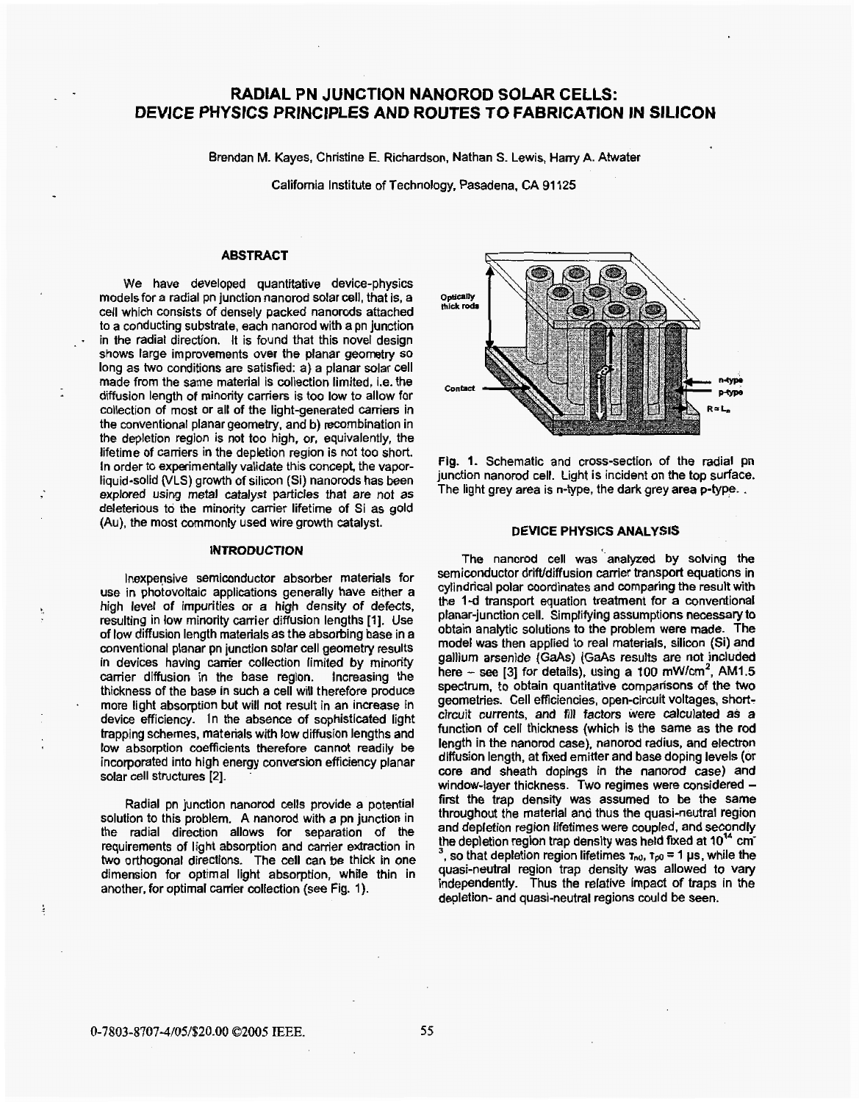# **RADIAL PN JUNCTION NANOROD SOLAR CELLS: DEVICE PHYSICS PRlNCfPLES AND ROUTES** *TO* **FABRICATION IN SILICON**

Brendan M. Kayes, Christine E. Richardson, Nathan **S.** Lewis, Harry A. Atwater

California Institute of Technology, Pasadena, CA 91 125

## **ABSTRACT**

We have developed quantitative device-physics models for a radial pn junction nanorod solar cell, that is, a cell which consists of densely packed nanorods attached to a conducting substrate, each nanorod with a pn junction in the radial direction. It is found that this novel design shows farge improvements over the planar geometry so long as **two** conditions are satisfied: a) a planar solar cell made from the same material is collection limited, i.e. the diffusion length of minority carriers is too low to allow for collection of most or all of the light-generated carriers in the conventional planar geometry, and b) recombination in the depletion region is not too high, or, equivalently, the lifetime of carriers in the depletion region is not too short. In order to experimentally validate this concept, the vaporliquid-solid **(VLS)** growth **of** silicon (Si) nanorods has been explored using **metal** catalyst particles that are not as deleterious to the minority carrier lifetime of Si as gold (Au), the most commonty used wire growth catalyst.

. .

-

Ĵ,

#### **INTRODUCTION**

Inexpensive semiconductor absorber materials for use in photovoltaic applications generally have either a high level of impurities or a high density of defects, resulting in low minority carrier diffusion lengths [1]. Use of **low** diffusion length materials as the absorbing base in a conventional planar pn junction solar cell geometry results in devices having carrier collection limited by minority carrier diffusion in the base region. Increasing the thickness of the base in such a cell will therefore produce more light absorption but will not result in an increase in device efficiency. In the absence of sophisticated light trapping schemes, materials with low diffusion lengths and low absorption coefficients therefore cannot readily be incorporated into high energy conversion efficiency planar solar cell structures *[Z].* -

Radial pn junction nanorod cells provide a potential solution to this problem. A nanorod with a pn junction in the radial direction allows for separation of the requirements of light absorption and carrier extraction in **two** orthogonal directions. The cell can be thick in one dimension for optimal light absorption, while thin in another, for optimal carrier collection (see Fig. 1).



Fig. **I.** Schematic and cross-section of the radial pn junction nanorod cell. Light is incident on the top surface. The light grey area is n-type. the dark grey area p-type. .

### **DEVICE PHYSICS ANALYSIS**

The nanorod cell was analyzed by solving the semiconductor drift/diffusion carrier transport equations in cylindrical polar coordinates and comparing the **result** with the **l-d** transport equation treatment for a conventional planar-junction cell. Simplifying assumptions necessary to obtain analytic solutions to the problem were made. The model was then applied to real materials. silicon (Si) and gallium **arsenide (GaAs) (GaAs** results are **not** included here  $-$  see [3] for details), using a  $100 \text{ mW/cm}^2$ , AM1.5 spectrum, to obtain quantitative comparisons of the two geometries. Cell efficiencies, open-circuit voltages, shortcircuit currents, and fill factors were calculated as a function of cell thickness (which is the same as the rod length in the nanorod case), nanorod radius, and electron diffusion length, at fixed emitter and base doping levels (or core and sheath dopings in the nanorod case) and window-layer thickness. Two regimes were considered first the trap density was assumed to be the same throughout the material and thus the quasi-neutral region and depletion region lifetimes were coupled. and secondly the depletion region trap density was held fixed at 10<sup>14</sup> cm<sup>-</sup> , so that depletion region lifetimes **T,,o, ipa** = 1 **ps,** while the quasi-neutral region trap density was allowed to vary independently. Thus the relative impact of **traps** in the depletion- and quasi-neutral regions could be seen.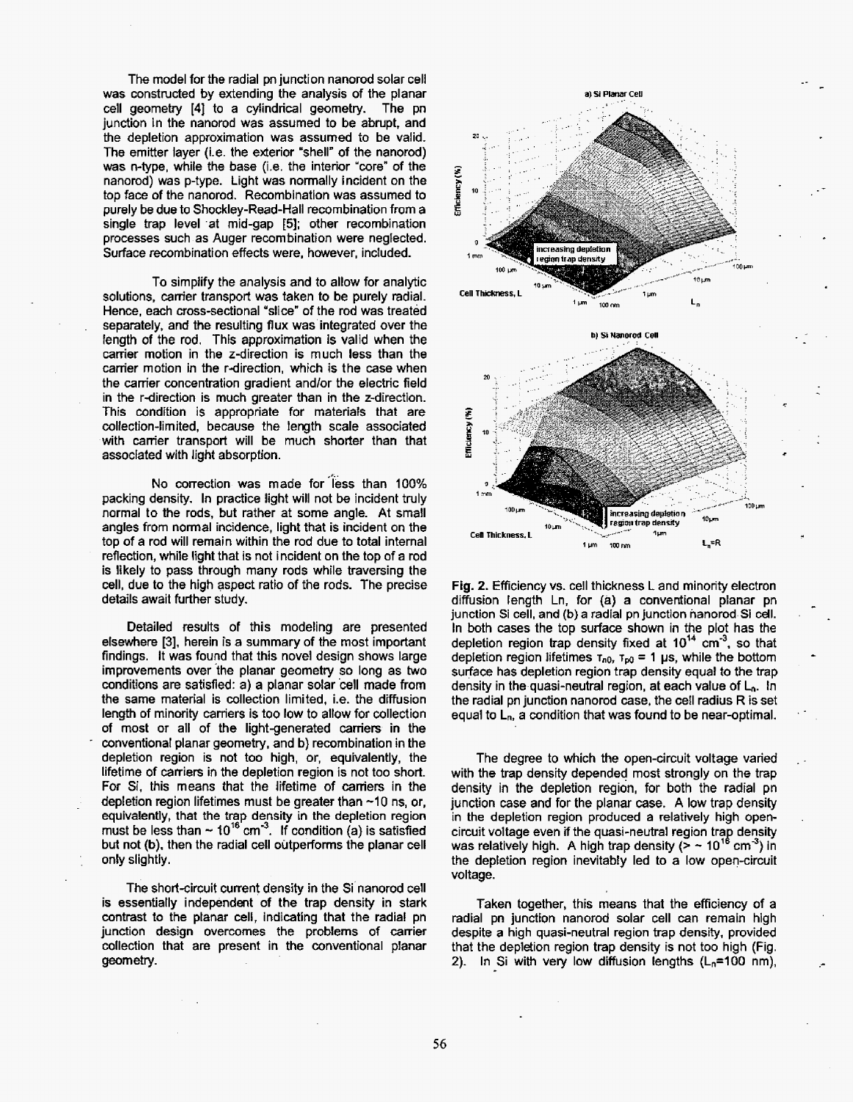The model for the radial pn junction nanorod solar cell was constructed by extending the analysis of the planar cell geometry **[4j** to a cylindrical geometry. The pn junction in the nanorod was assumed to be abrupt, and the depletion approximation was assumed to be valid. The emitter layer (i.e. the exterior "shell" **of** the nanorod) was n-type, while the base (i.e. the interior 'core" of the nanorod) was p-type. Light was normally incident on the top face of the nanorod. Recombination was assumed to purely be due to Shockley-Read-Hall recombination from a single trap level **.at** mid-gap **[ti];** other recombination processes such as Auger recombination were neglected. Surface recombination effects were, however, included.

To simplify the analysis and to allow for analytic solutions, carrier transport was taken to be purely radial. Hence, each cross-sectional "slice" of the rod was treated separately, and the resulting flux was integrated over the fength of the rod. This approximation **is** valid when the carrier motion in the z-direction is much less than the carrier motion in the r-direction, which is the case when the carrier concentration gradient andlor the electric field in the r-direction is much greater than in the z-direction. This condition is appropriate for materials that are collection-limited, because the length scale associated with carrier transport will be much shorter than that associated with light absorption.

No correction was made for **'iess** than 100% packing density. **In** practice light will not be incident truly normal to the rods, **but** rather at some angle. At small angles from normal incidence, light that is incident on the top of a rod will remain within the rod due to total internal reflection, while light that is not incident on the top of a rod is likely to pass through many rods while traversing the cell, due to the high aspect ratio of the rods. The precjse details await further study.

Detailed results of this modeling are presented elsewhere **[3].** herein is a summary of the most important findings. It was found that this novel design shows large improvements over the planar geometry so long as two conditions are satisfied: a) a planar solar 'cell made from the same material is collection limited, i.e. the diffusion length of minority carriers is too low to allow for collection of most or all of the light-generated carriers in the conventional planar geometry, and b) recombination **in** the depletion region is not too high, or, equivalently, the lifetime of carriers in the depletion region is not too short. For Si, this means that the lifetime of carriers in **the**  depletion region lifetimes must be greater than  $\sim$ 10 ns, or, equivalently, that the trap density in the depletion region must be less than  $\sim 10^{16}$  cm<sup>-3</sup>. If condition (a) is satisfied but not (b). then the radial cell outperforms the planar cell only slightly.

-

.

The short-circuit current density in the Si nanorod cell is essentially independent of the **trap** density in stark contrast to the ptanar cell, indicating that the radial pn junction design overcomes the problems of carrier collection that are present in the conventional planar geometry.



Fig. 2. Efficiency vs. cell thickness L and minority electron diffusion length Ln, for (a) a conventional planar pn junction Si cell, and **(b)** a radial pn junction hanorod Si cell. In both cases the top surface shown in the plot has **the**  depletion region trap density fixed at  $10^{14}$  cm<sup>-3</sup>, so that depletion region lifetimes  $\tau_{n0}$ ,  $\tau_{p0} = 1$  **ps**, while the bottom surface has depletion region trap density equal to the trap density in the quasi-neutral region, at each value of L<sub>n</sub>. In the radial **pn** junction nanorod case, the cell radius R is set equal to **Ln,** a condition that was found to be near-optimal.

-

.

The degree to which the open-circuit voltage varied with the trap density depended most strongly on the trap density in the depletion region, for both the radial pn junction case and for the planar case. A low trap density in the depletion region produced a relatively high opencircuit voltage even if the quasi-neutral region trap density<br>was relatively high. A high trap density (> ~ 10<sup>16</sup> cm<sup>-3</sup>) in the depletion region inevitably led to a low open-circuit voltage.

Taken together, this means that the efficiency of a radial pn junction nanorod solar cell can remain high despite a high quasi-neutral region trap density. provided that the depletion region trap density is not too high (Fig. **2).** In Si with very low diffusion lengths **(L,=lOO** nm),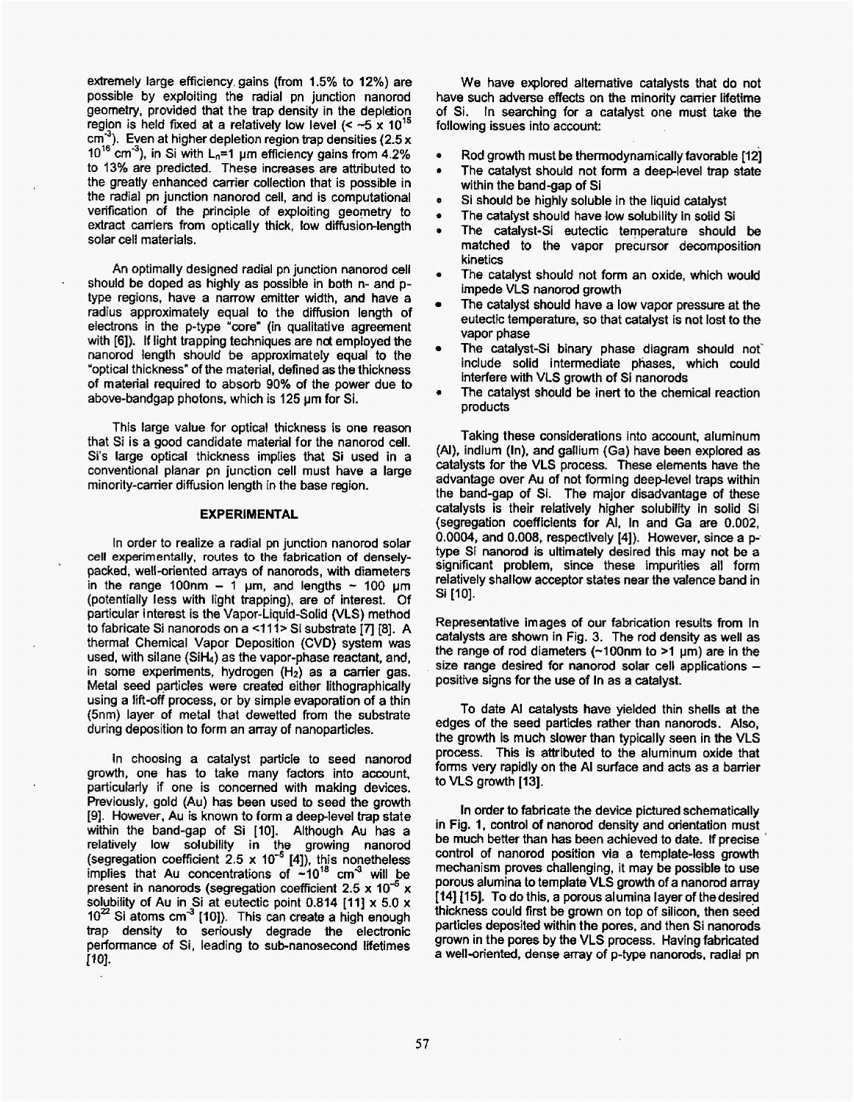extremely large efficiency. gains (from 1.5% to **12%)** are possible by exploiting the radial pn junction nanorod geometry, provided that the trap density in the depletion region is held fixed at a relatively low level  $(< -5 \times 10^{15}$ <br>cm<sup>3</sup>). Even at higher depletion region tran densities (2.5 x **cmm3).** Even at higher depletion region trap densities (2.5 x 10<sup>16</sup> cm<sup>-3</sup>), in Si with L<sub>n</sub>=1 µm efficiency gains from 4.2% to 13% are predicted. These increases are attributed to the greatly enhanced carrier collection that is possible in the radial pn junction nanorod cell, and is computational verification of the principle of exploiting geometry to extract carriers from optically thick, low diffusion-length solar cell materials.

An optimally designed radial pn junction nanorod cell should be doped as highly as possible in both n- and **p**type regions, have a narrow emitter width, and have a radius approximately equal to the diffusion length of electrons in the p-type "core" (in qualitative agreement with [6]). If light trapping techniques are not employed the nanorod length should be approximately equal to the 'optical thickness" of the material, defined as the thickness of material required to absorb 90% of the power due to above-bandgap photons, which is 125 um for Si.

This large value for optical thickness is one reason that Si is a good candidate material for the nanorod cell. Si's large optical thickness implies that Si used in a conventional planar pn junction cell must have a large minority-carrier diffusion length in the base region.

#### **EXPERIMENTAL**

In order to realize a radial pn junction nanorod solar cell experimentally. **routes to** the fabrication of denselypacked. well-oriented arrays of nanorods, with diameters in the range 100nm  $-$  1  $\mu$ m, and lengths  $\sim$  100  $\mu$ m (potentially less with light trapping). are of interest. Of particular interest is the Vapor-Liquid-Solid **(VLS)** method to fabricate **Si** nanorods on a **4** 11> Si substrate **17 [8].** <sup>A</sup> thermal Chemical Vapor Deposition (CVD) system was used, with silane (SiH<sub>4</sub>) as the vapor-phase reactant, and, in some experiments, hydrogen **(H2)** as a carrier gas. Metal seed particles were created either lithographically using a lift-off process, or by simple evaporation of a thin (5nm) layer of metal that dewetted from the substrate during deposition to form **an** array of nanoparticles.

In choosing a catalyst particle to seed nanorod growth, one has to take many factors into account. particularly if one is concerned with making devices. Previously, gold (Au) has been used to seed the growth **[Q].** However, Au is known to form a deeplevel trap state within the band-gap *of* Si [IO]. Although **Au** has a relatively low solubility in the growing nanorod (segregation coefficient 2.5 x **[4]),** this nonetheless implies that Au concentrations of ~10<sup>1</sup>° cm<sup>-ა</sup> will be present in nanorods (segregation coefficient 2.5 x 10<sup>-5</sup> x solubility of Au in Si at eutectic point **0.814 [ll]** x **5.0** x 10<sup>22</sup> Si atoms cm<sup>-3</sup> [10]). This can create a high enough **trap** density to seriously degrade the electronic performance of Si, leading to sub-nanosecond lifetimes [10].

We have explored alternative catalysts that do not have such adverse effects **on** the minority carrier lifetime of Si. In searching **for** a catafyst one must take the following issues into account:

- **4 Rod** growth must be thermodynamically favorable 1121
- **b**  The catalyst should not form a deep-level trap state within the band-gap of Si
- *0*  Si should be highty soluble in the liquid catalyst
- *0*  The catalyst should have low solubility in solid Si
- **b**  The catalyst-Si eutectic temperature should be matched to the vapor precursor decomposition kinetics
- *0*  The catalyst should not form an oxide, which would impede VLS nanorod growth
- The catalyst should have a **low** vapor pressure at the eutectic temperature, so that catalyst is not lost to the vapor phase
- The catalyst-Si binary phase diagram should not include solid intermediate phases, which could interfere with **VLS** growth of Si nanorods
- *0*  The catalyst should be inert to the chemical reaction products

Taking these considerations into account. aluminum *(A),* indium (In), and gallium (Ga) have been explored as catalysts for the VLS process. These elements have the advantage over Au of not forming deeplevel traps within the band-gap of Si. The major disadvantage of these catalysts is their relatively higher solubifity in solid Si (segregation coefficients for AI, In and Ga are 0.002, 0.0004, and 0.008, respectively **[4]).** However, since a ptype Si nanorod is ultimately desired this **may** not be a significant problem, since these impurities **all** form relatively shallow acceptor states near the valence band in Si [IO].

Representative images of our fabrication results from In catalysts are shown in Fig. **3.** The rod density as well as the range of rod diameters  $(-100$ nm to >1 µm) are in the size range desired for nanorod solar cell applications - positive signs for the use of In as a catalyst.

To date *Al* catalysts have yielded thin shells at the edges of the seed particles rather than nanorods. Also, the growth is much slower than typically seen in the VLS process. This is attributed to the aluminum oxide that forms very rapidly on the *AI* surface and acts as a barrier to **VLS** growth [ **131.** 

In order to fabricate the device pictured schematically in Fig. **1,** control of nanorod density and orientation must be much better than has been achieved to date. If precise control of nanorod position via a template-less **growth**  mechanism proves challenging, it may be possible to use porous alumina to template VLS growth of a nanorod array **[I41 I15J.** To **do** this, a porous alumina layer of thedesired thickness could first be grown on top of silicon, then **seed**  particles deposited within the pores, and then Si nanorods grown in the pores by the VLS process. Having fabricated a well-oriented, dense array of p-type nanorods. radial pn